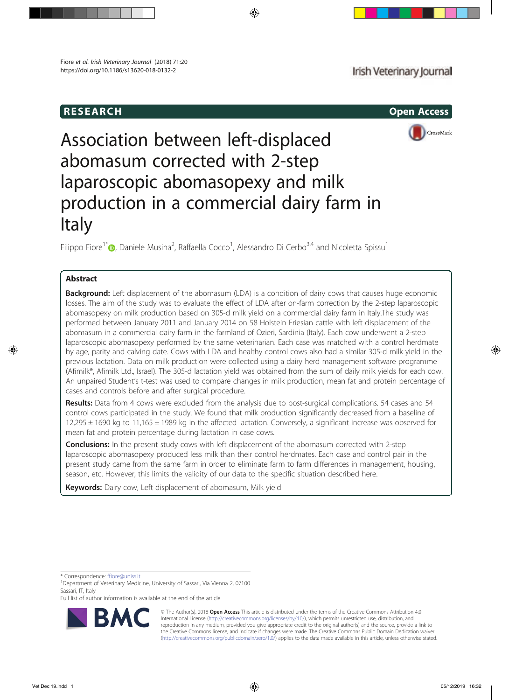## RESEARCH Open Access



# Association between left-displaced abomasum corrected with 2-step laparoscopic abomasopexy and milk production in a commercial dairy farm in Italy

Filippo Fiore<sup>1\*</sup> D, Daniele Musina<sup>2</sup>, Raffaella Cocco<sup>1</sup>, Alessandro Di Cerbo<sup>3,4</sup> and Nicoletta Spissu<sup>1</sup>

## Abstract

Background: Left displacement of the abomasum (LDA) is a condition of dairy cows that causes huge economic losses. The aim of the study was to evaluate the effect of LDA after on-farm correction by the 2-step laparoscopic abomasopexy on milk production based on 305-d milk yield on a commercial dairy farm in Italy.The study was performed between January 2011 and January 2014 on 58 Holstein Friesian cattle with left displacement of the abomasum in a commercial dairy farm in the farmland of Ozieri, Sardinia (Italy). Each cow underwent a 2-step laparoscopic abomasopexy performed by the same veterinarian. Each case was matched with a control herdmate by age, parity and calving date. Cows with LDA and healthy control cows also had a similar 305-d milk yield in the previous lactation. Data on milk production were collected using a dairy herd management software programme (Afimilk®, Afimilk Ltd., Israel). The 305-d lactation yield was obtained from the sum of daily milk yields for each cow. An unpaired Student's t-test was used to compare changes in milk production, mean fat and protein percentage of cases and controls before and after surgical procedure.

Results: Data from 4 cows were excluded from the analysis due to post-surgical complications. 54 cases and 54 control cows participated in the study. We found that milk production significantly decreased from a baseline of 12,295 ± 1690 kg to 11,165 ± 1989 kg in the affected lactation. Conversely, a significant increase was observed for mean fat and protein percentage during lactation in case cows.

**Conclusions:** In the present study cows with left displacement of the abomasum corrected with 2-step laparoscopic abomasopexy produced less milk than their control herdmates. Each case and control pair in the present study came from the same farm in order to eliminate farm to farm differences in management, housing, season, etc. However, this limits the validity of our data to the specific situation described here.

Keywords: Dairy cow, Left displacement of abomasum, Milk yield

\* Correspondence: ffiore@uniss.it <sup>1</sup>

Full list of author information is available at the end of the article



© The Author(s). 2018 Open Access This article is distributed under the terms of the Creative Commons Attribution 4.0 International License (http://creativecommons.org/licenses/by/4.0/), which permits unrestricted use, distribution, and reproduction in any medium, provided you give appropriate credit to the original author(s) and the source, provide a link to the Creative Commons license, and indicate if changes were made. The Creative Commons Public Domain Dedication waiver (http://creativecommons.org/publicdomain/zero/1.0/) applies to the data made available in this article, unless otherwise stated.

<sup>&</sup>lt;sup>1</sup>Department of Veterinary Medicine, University of Sassari, Via Vienna 2, 07100 Sassari, IT, Italy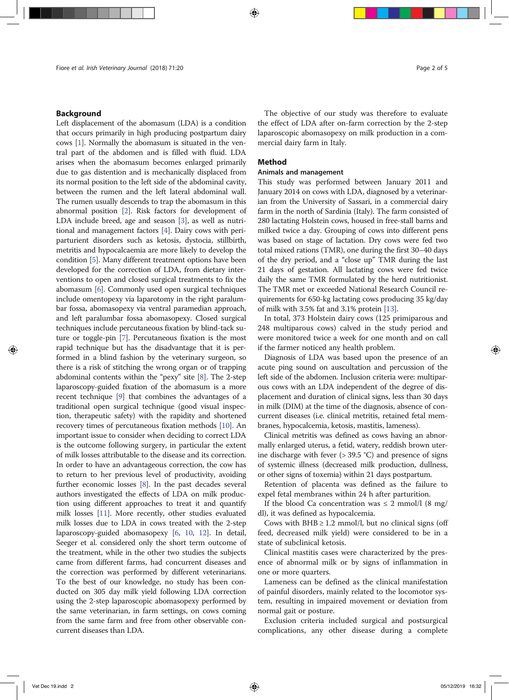## Background

Left displacement of the abomasum (LDA) is a condition that occurs primarily in high producing postpartum dairy cows [1]. Normally the abomasum is situated in the ventral part of the abdomen and is filled with fluid. LDA arises when the abomasum becomes enlarged primarily due to gas distention and is mechanically displaced from its normal position to the left side of the abdominal cavity, between the rumen and the left lateral abdominal wall. The rumen usually descends to trap the abomasum in this abnormal position [2]. Risk factors for development of LDA include breed, age and season [3], as well as nutritional and management factors [4]. Dairy cows with periparturient disorders such as ketosis, dystocia, stillbirth, metritis and hypocalcaemia are more likely to develop the condition [5]. Many different treatment options have been developed for the correction of LDA, from dietary interventions to open and closed surgical treatments to fix the abomasum [6]. Commonly used open surgical techniques include omentopexy via laparotomy in the right paralumbar fossa, abomasopexy via ventral paramedian approach, and left paralumbar fossa abomasopexy. Closed surgical techniques include percutaneous fixation by blind-tack suture or toggle-pin [7]. Percutaneous fixation is the most rapid technique but has the disadvantage that it is performed in a blind fashion by the veterinary surgeon, so there is a risk of stitching the wrong organ or of trapping abdominal contents within the "pexy" site [8]. The 2-step laparoscopy-guided fixation of the abomasum is a more recent technique [9] that combines the advantages of a traditional open surgical technique (good visual inspection, therapeutic safety) with the rapidity and shortened recovery times of percutaneous fixation methods [10]. An important issue to consider when deciding to correct LDA is the outcome following surgery, in particular the extent of milk losses attributable to the disease and its correction. In order to have an advantageous correction, the cow has to return to her previous level of productivity, avoiding further economic losses [8]. In the past decades several authors investigated the effects of LDA on milk production using different approaches to treat it and quantify milk losses [11]. More recently, other studies evaluated milk losses due to LDA in cows treated with the 2-step laparoscopy-guided abomasopexy [6, 10, 12]. In detail, Seeger et al. considered only the short term outcome of the treatment, while in the other two studies the subjects came from different farms, had concurrent diseases and the correction was performed by different veterinarians. To the best of our knowledge, no study has been conducted on 305 day milk yield following LDA correction using the 2-step laparoscopic abomasopexy performed by the same veterinarian, in farm settings, on cows coming from the same farm and free from other observable concurrent diseases than LDA.

The objective of our study was therefore to evaluate the effect of LDA after on-farm correction by the 2-step laparoscopic abomasopexy on milk production in a commercial dairy farm in Italy.

## Method

## Animals and management

This study was performed between January 2011 and January 2014 on cows with LDA, diagnosed by a veterinarian from the University of Sassari, in a commercial dairy farm in the north of Sardinia (Italy). The farm consisted of 280 lactating Holstein cows, housed in free-stall barns and milked twice a day. Grouping of cows into different pens was based on stage of lactation. Dry cows were fed two total mixed rations (TMR), one during the first 30–40 days of the dry period, and a "close up" TMR during the last 21 days of gestation. All lactating cows were fed twice daily the same TMR formulated by the herd nutritionist. The TMR met or exceeded National Research Council requirements for 650-kg lactating cows producing 35 kg/day of milk with 3.5% fat and 3.1% protein [13].

In total, 373 Holstein dairy cows (125 primiparous and 248 multiparous cows) calved in the study period and were monitored twice a week for one month and on call if the farmer noticed any health problem.

Diagnosis of LDA was based upon the presence of an acute ping sound on auscultation and percussion of the left side of the abdomen. Inclusion criteria were: multiparous cows with an LDA independent of the degree of displacement and duration of clinical signs, less than 30 days in milk (DIM) at the time of the diagnosis, absence of concurrent diseases (i.e. clinical metritis, retained fetal membranes, hypocalcemia, ketosis, mastitis, lameness).

Clinical metritis was defined as cows having an abnormally enlarged uterus, a fetid, watery, reddish brown uterine discharge with fever (> 39.5 °C) and presence of signs of systemic illness (decreased milk production, dullness, or other signs of toxemia) within 21 days postpartum.

Retention of placenta was defined as the failure to expel fetal membranes within 24 h after parturition.

If the blood Ca concentration was  $\leq 2$  mmol/l (8 mg/ dl), it was defined as hypocalcemia.

Cows with  $BHB \geq 1.2$  mmol/l, but no clinical signs (off feed, decreased milk yield) were considered to be in a state of subclinical ketosis.

Clinical mastitis cases were characterized by the presence of abnormal milk or by signs of inflammation in one or more quarters.

Lameness can be defined as the clinical manifestation of painful disorders, mainly related to the locomotor system, resulting in impaired movement or deviation from normal gait or posture.

Exclusion criteria included surgical and postsurgical complications, any other disease during a complete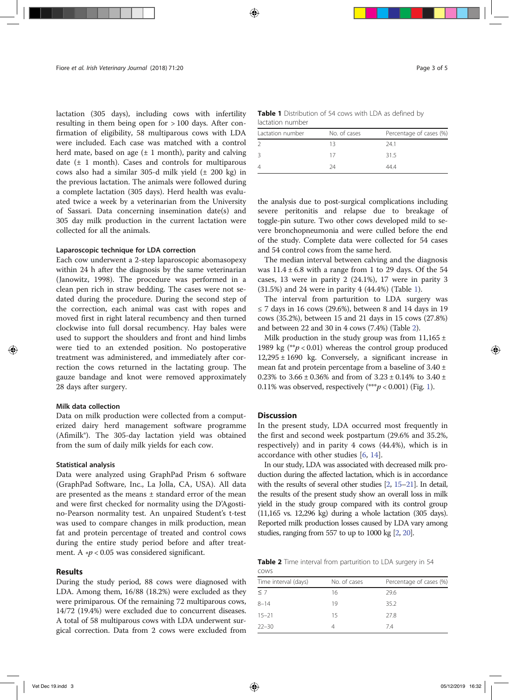lactation (305 days), including cows with infertility resulting in them being open for > 100 days. After confirmation of eligibility, 58 multiparous cows with LDA were included. Each case was matched with a control herd mate, based on age  $(\pm 1 \text{ month})$ , parity and calving date  $(\pm 1 \text{ month})$ . Cases and controls for multiparous cows also had a similar 305-d milk yield (± 200 kg) in the previous lactation. The animals were followed during a complete lactation (305 days). Herd health was evaluated twice a week by a veterinarian from the University of Sassari. Data concerning insemination date(s) and 305 day milk production in the current lactation were collected for all the animals.

#### Laparoscopic technique for LDA correction

Each cow underwent a 2-step laparoscopic abomasopexy within 24 h after the diagnosis by the same veterinarian (Janowitz, 1998). The procedure was performed in a clean pen rich in straw bedding. The cases were not sedated during the procedure. During the second step of the correction, each animal was cast with ropes and moved first in right lateral recumbency and then turned clockwise into full dorsal recumbency. Hay bales were used to support the shoulders and front and hind limbs were tied to an extended position. No postoperative treatment was administered, and immediately after correction the cows returned in the lactating group. The gauze bandage and knot were removed approximately 28 days after surgery.

### Milk data collection

Data on milk production were collected from a computerized dairy herd management software programme (Afimilk®). The 305-day lactation yield was obtained from the sum of daily milk yields for each cow.

#### Statistical analysis

Data were analyzed using GraphPad Prism 6 software (GraphPad Software, Inc., La Jolla, CA, USA). All data are presented as the means ± standard error of the mean and were first checked for normality using the D'Agostino-Pearson normality test. An unpaired Student's t-test was used to compare changes in milk production, mean fat and protein percentage of treated and control cows during the entire study period before and after treatment. A  $\nu$  < 0.05 was considered significant.

## Results

During the study period, 88 cows were diagnosed with LDA. Among them, 16/88 (18.2%) were excluded as they were primiparous. Of the remaining 72 multiparous cows, 14/72 (19.4%) were excluded due to concurrent diseases. A total of 58 multiparous cows with LDA underwent surgical correction. Data from 2 cows were excluded from

Table 1 Distribution of 54 cows with LDA as defined by lactation number

| Lactation number | No. of cases | Percentage of cases (%) |
|------------------|--------------|-------------------------|
|                  | 13           | 24.1                    |
|                  |              | 31.5                    |
| $\overline{4}$   | 24           | 444                     |

the analysis due to post-surgical complications including severe peritonitis and relapse due to breakage of toggle-pin suture. Two other cows developed mild to severe bronchopneumonia and were culled before the end of the study. Complete data were collected for 54 cases and 54 control cows from the same herd.

The median interval between calving and the diagnosis was  $11.4 \pm 6.8$  with a range from 1 to 29 days. Of the 54 cases, 13 were in parity 2 (24.1%), 17 were in parity 3 (31.5%) and 24 were in parity 4 (44.4%) (Table 1).

The interval from parturition to LDA surgery was ≤ 7 days in 16 cows (29.6%), between 8 and 14 days in 19 cows (35.2%), between 15 and 21 days in 15 cows (27.8%) and between 22 and 30 in 4 cows (7.4%) (Table 2).

Milk production in the study group was from  $11,165 \pm$ 1989 kg (\*\* $p$  < 0.01) whereas the control group produced 12,295 ± 1690 kg. Conversely, a significant increase in mean fat and protein percentage from a baseline of 3.40 ± 0.23% to  $3.66 \pm 0.36$ % and from of  $3.23 \pm 0.14$ % to  $3.40 \pm$ 0.11% was observed, respectively  $(**p < 0.001)$  (Fig. 1).

## **Discussion**

In the present study, LDA occurred most frequently in the first and second week postpartum (29.6% and 35.2%, respectively) and in parity 4 cows (44.4%), which is in accordance with other studies [6, 14].

In our study, LDA was associated with decreased milk production during the affected lactation, which is in accordance with the results of several other studies [2, 15–21]. In detail, the results of the present study show an overall loss in milk yield in the study group compared with its control group (11,165 vs. 12,296 kg) during a whole lactation (305 days). Reported milk production losses caused by LDA vary among studies, ranging from 557 to up to 1000 kg [2, 20].

Table 2 Time interval from parturition to LDA surgery in 54 cows

| Time interval (days) | No. of cases | Percentage of cases (%) |
|----------------------|--------------|-------------------------|
| $\leq$ 7             | 16           | 29.6                    |
| $8 - 14$             | 19           | 35.2                    |
| $15 - 21$            | 15           | 27.8                    |
| $22 - 30$            |              | 7.4                     |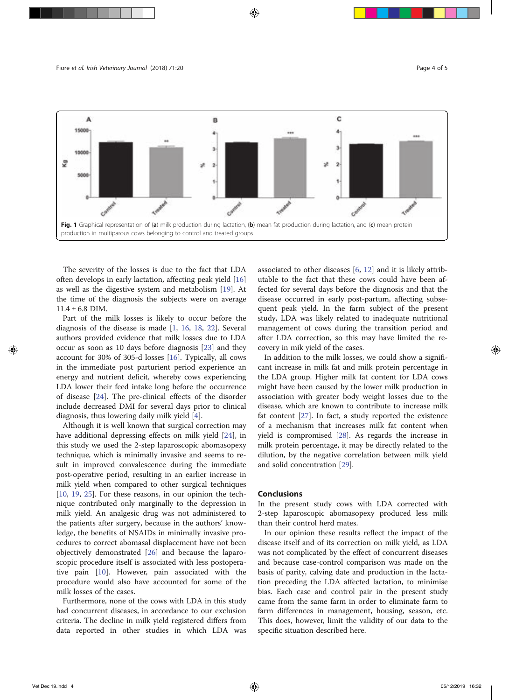

The severity of the losses is due to the fact that LDA often develops in early lactation, affecting peak yield [16] as well as the digestive system and metabolism [19]. At the time of the diagnosis the subjects were on average 11.4 ± 6.8 DIM.

Part of the milk losses is likely to occur before the diagnosis of the disease is made [1, 16, 18, 22]. Several authors provided evidence that milk losses due to LDA occur as soon as 10 days before diagnosis [23] and they account for 30% of 305-d losses [16]. Typically, all cows in the immediate post parturient period experience an energy and nutrient deficit, whereby cows experiencing LDA lower their feed intake long before the occurrence of disease [24]. The pre-clinical effects of the disorder include decreased DMI for several days prior to clinical diagnosis, thus lowering daily milk yield [4].

Although it is well known that surgical correction may have additional depressing effects on milk yield [24], in this study we used the 2-step laparoscopic abomasopexy technique, which is minimally invasive and seems to result in improved convalescence during the immediate post-operative period, resulting in an earlier increase in milk yield when compared to other surgical techniques [10, 19, 25]. For these reasons, in our opinion the technique contributed only marginally to the depression in milk yield. An analgesic drug was not administered to the patients after surgery, because in the authors' knowledge, the benefits of NSAIDs in minimally invasive procedures to correct abomasal displacement have not been objectively demonstrated [26] and because the laparoscopic procedure itself is associated with less postoperative pain [10]. However, pain associated with the procedure would also have accounted for some of the milk losses of the cases.

Furthermore, none of the cows with LDA in this study had concurrent diseases, in accordance to our exclusion criteria. The decline in milk yield registered differs from data reported in other studies in which LDA was

associated to other diseases [6, 12] and it is likely attributable to the fact that these cows could have been affected for several days before the diagnosis and that the disease occurred in early post-partum, affecting subsequent peak yield. In the farm subject of the present study, LDA was likely related to inadequate nutritional management of cows during the transition period and after LDA correction, so this may have limited the recovery in mik yield of the cases.

In addition to the milk losses, we could show a significant increase in milk fat and milk protein percentage in the LDA group. Higher milk fat content for LDA cows might have been caused by the lower milk production in association with greater body weight losses due to the disease, which are known to contribute to increase milk fat content [27]. In fact, a study reported the existence of a mechanism that increases milk fat content when yield is compromised [28]. As regards the increase in milk protein percentage, it may be directly related to the dilution, by the negative correlation between milk yield and solid concentration [29].

## Conclusions

In the present study cows with LDA corrected with 2-step laparoscopic abomasopexy produced less milk than their control herd mates.

In our opinion these results reflect the impact of the disease itself and of its correction on milk yield, as LDA was not complicated by the effect of concurrent diseases and because case-control comparison was made on the basis of parity, calving date and production in the lactation preceding the LDA affected lactation, to minimise bias. Each case and control pair in the present study came from the same farm in order to eliminate farm to farm differences in management, housing, season, etc. This does, however, limit the validity of our data to the specific situation described here.